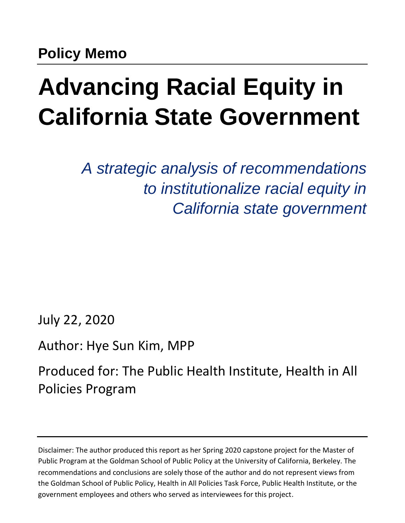# **Advancing Racial Equity in California State Government**

*A strategic analysis of recommendations to institutionalize racial equity in California state government*

July 22, 2020

## Author: Hye Sun Kim, MPP

Produced for: The Public Health Institute, Health in All Policies Program

Disclaimer: The author produced this report as her Spring 2020 capstone project for the Master of Public Program at the Goldman School of Public Policy at the University of California, Berkeley. The recommendations and conclusions are solely those of the author and do not represent views from the Goldman School of Public Policy, Health in All Policies Task Force, Public Health Institute, or the government employees and others who served as interviewees for this project.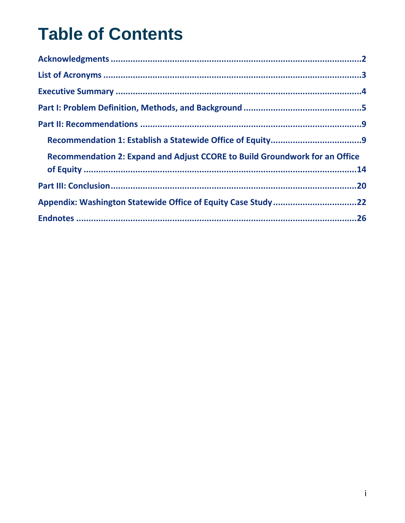## **Table of Contents**

| Recommendation 2: Expand and Adjust CCORE to Build Groundwork for an Office |
|-----------------------------------------------------------------------------|
|                                                                             |
|                                                                             |
| Appendix: Washington Statewide Office of Equity Case Study 22               |
|                                                                             |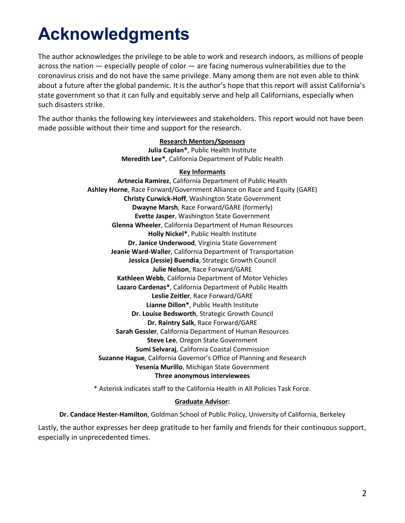## <span id="page-2-0"></span>**Acknowledgments**

The author acknowledges the privilege to be able to work and research indoors, as millions of people across the nation — especially people of color — are facing numerous vulnerabilities due to the coronavirus crisis and do not have the same privilege. Many among them are not even able to think about a future after the global pandemic. It is the author's hope that this report will assist California's state government so that it can fully and equitably serve and help all Californians, especially when such disasters strike.

The author thanks the following key interviewees and stakeholders. This report would not have been made possible without their time and support for the research.

#### **Research Mentors/Sponsors**

**Julia Caplan\***, Public Health Institute **Meredith Lee\***, California Department of Public Health

#### **Key Informants**

**Artnecia Ramirez**, California Department of Public Health **Ashley Horne**, Race Forward/Government Alliance on Race and Equity (GARE) **Christy Curwick-Hoff**, Washington State Government **Dwayne Marsh**, Race Forward/GARE (formerly) **Evette Jasper**, Washington State Government **Glenna Wheeler**, California Department of Human Resources **Holly Nickel\***, Public Health Institute **Dr. Janice Underwood**, Virginia State Government **Jeanie Ward-Waller**, California Department of Transportation **Jessica (Jessie) Buendia**, Strategic Growth Council **Julie Nelson**, Race Forward/GARE **Kathleen Webb**, California Department of Motor Vehicles **Lazaro Cardenas\***, California Department of Public Health **Leslie Zeitler**, Race Forward/GARE **Lianne Dillon\***, Public Health Institute **Dr. Louise Bedsworth**, Strategic Growth Council **Dr. Raintry Salk**, Race Forward/GARE **Sarah Gessler**, California Department of Human Resources **Steve Lee**, Oregon State Government **Sumi Selvaraj**, California Coastal Commission **Suzanne Hague**, California Governor's Office of Planning and Research **Yesenia Murillo**, Michigan State Government **Three anonymous interviewees**

\* Asterisk indicates staff to the California Health in All Policies Task Force.

#### **Graduate Advisor:**

**Dr. Candace Hester-Hamilton**, Goldman School of Public Policy, University of California, Berkeley

Lastly, the author expresses her deep gratitude to her family and friends for their continuous support, especially in unprecedented times.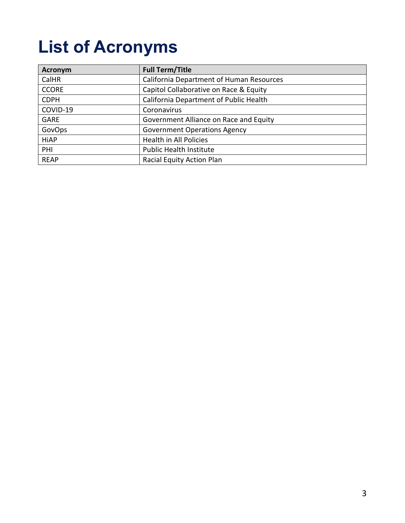## <span id="page-3-0"></span>**List of Acronyms**

| <b>Acronym</b> | <b>Full Term/Title</b>                   |
|----------------|------------------------------------------|
| CalHR          | California Department of Human Resources |
| <b>CCORE</b>   | Capitol Collaborative on Race & Equity   |
| <b>CDPH</b>    | California Department of Public Health   |
| COVID-19       | Coronavirus                              |
| <b>GARE</b>    | Government Alliance on Race and Equity   |
| GovOps         | <b>Government Operations Agency</b>      |
| <b>HiAP</b>    | Health in All Policies                   |
| <b>PHI</b>     | <b>Public Health Institute</b>           |
| <b>REAP</b>    | Racial Equity Action Plan                |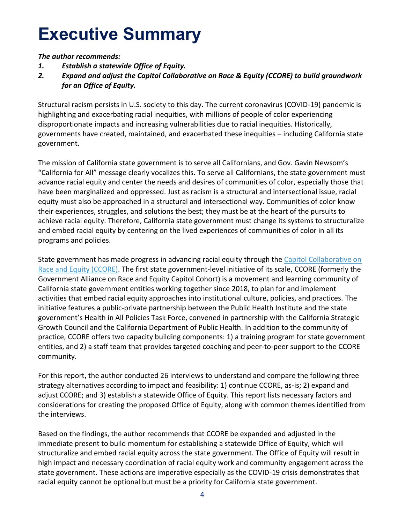## <span id="page-4-0"></span>**Executive Summary**

*The author recommends:* 

- *1. Establish a statewide Office of Equity.*
- *2. Expand and adjust the Capitol Collaborative on Race & Equity (CCORE) to build groundwork for an Office of Equity.*

Structural racism persists in U.S. society to this day. The current coronavirus (COVID-19) pandemic is highlighting and exacerbating racial inequities, with millions of people of color experiencing disproportionate impacts and increasing vulnerabilities due to racial inequities. Historically, governments have created, maintained, and exacerbated these inequities – including California state government.

The mission of California state government is to serve all Californians, and Gov. Gavin Newsom's "California for All" message clearly vocalizes this. To serve all Californians, the state government must advance racial equity and center the needs and desires of communities of color, especially those that have been marginalized and oppressed. Just as racism is a structural and intersectional issue, racial equity must also be approached in a structural and intersectional way. Communities of color know their experiences, struggles, and solutions the best; they must be at the heart of the pursuits to achieve racial equity. Therefore, California state government must change its systems to structuralize and embed racial equity by centering on the lived experiences of communities of color in all its programs and policies.

State government has made progress in advancing racial equity through the [Capitol Collaborative on](https://sgc.ca.gov/programs/hiap/racial-equity/)  [Race and Equity \(CCORE\).](https://sgc.ca.gov/programs/hiap/racial-equity/) The first state government-level initiative of its scale, CCORE (formerly the Government Alliance on Race and Equity Capitol Cohort) is a movement and learning community of California state government entities working together since 2018, to plan for and implement activities that embed racial equity approaches into institutional culture, policies, and practices. The initiative features a public-private partnership between the Public Health Institute and the state government's Health in All Policies Task Force, convened in partnership with the California Strategic Growth Council and the California Department of Public Health. In addition to the community of practice, CCORE offers two capacity building components: 1) a training program for state government entities, and 2) a staff team that provides targeted coaching and peer-to-peer support to the CCORE community.

For this report, the author conducted 26 interviews to understand and compare the following three strategy alternatives according to impact and feasibility: 1) continue CCORE, as-is; 2) expand and adjust CCORE; and 3) establish a statewide Office of Equity. This report lists necessary factors and considerations for creating the proposed Office of Equity, along with common themes identified from the interviews.

Based on the findings, the author recommends that CCORE be expanded and adjusted in the immediate present to build momentum for establishing a statewide Office of Equity, which will structuralize and embed racial equity across the state government. The Office of Equity will result in high impact and necessary coordination of racial equity work and community engagement across the state government. These actions are imperative especially as the COVID-19 crisis demonstrates that racial equity cannot be optional but must be a priority for California state government.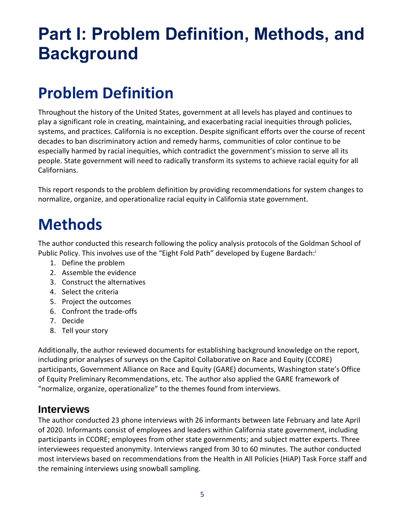## <span id="page-5-0"></span>**Part I: Problem Definition, Methods, and Background**

## **Problem Definition**

Throughout the history of the United States, government at all levels has played and continues to play a significant role in creating, maintaining, and exacerbating racial inequities through policies, systems, and practices. California is no exception. Despite significant efforts over the course of recent decades to ban discriminatory action and remedy harms, communities of color continue to be especially harmed by racial inequities, which contradict the government's mission to serve all its people. State government will need to radically transform its systems to achieve racial equity for all Californians.

This report responds to the problem definition by providing recommendations for system changes to normalize, organize, and operationalize racial equity in California state government.

## **Methods**

The author conducted this research following the policy analysis protocols of the Goldman School of Public Policy. This involves use of the "Eight Fold Path" developed by Eugene Bardach:

- 1. Define the problem
- 2. Assemble the evidence
- 3. Construct the alternatives
- 4. Select the criteria
- 5. Project the outcomes
- 6. Confront the trade-offs
- 7. Decide
- 8. Tell your story

Additionally, the author reviewed documents for establishing background knowledge on the report, including prior analyses of surveys on the Capitol Collaborative on Race and Equity (CCORE) participants, Government Alliance on Race and Equity (GARE) documents, Washington state's Office of Equity Preliminary Recommendations, etc. The author also applied the GARE framework of "normalize, organize, operationalize" to the themes found from interviews.

#### **Interviews**

The author conducted 23 phone interviews with 26 informants between late February and late April of 2020. Informants consist of employees and leaders within California state government, including participants in CCORE; employees from other state governments; and subject matter experts. Three interviewees requested anonymity. Interviews ranged from 30 to 60 minutes. The author conducted most interviews based on recommendations from the Health in All Policies (HiAP) Task Force staff and the remaining interviews using snowball sampling.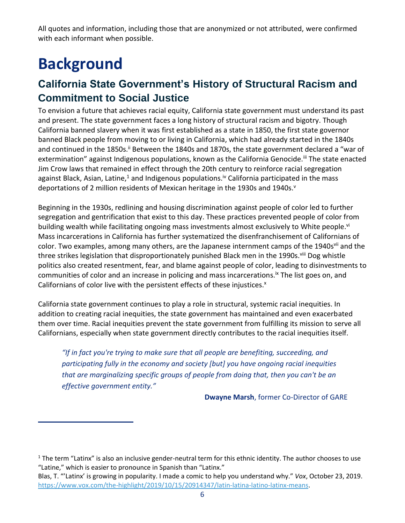All quotes and information, including those that are anonymized or not attributed, were confirmed with each informant when possible.

## **Background**

### **California State Government's History of Structural Racism and Commitment to Social Justice**

To envision a future that achieves racial equity, California state government must understand its past and present. The state government faces a long history of structural racism and bigotry. Though California banned slavery when it was first established as a state in 1850, the first state governor banned Black people from moving to or living in California, which had already started in the 1840s and continued in the 1850s.<sup>ii</sup> Between the 1840s and 1870s, the state government declared a "war of extermination" against Indigenous populations, known as the California Genocide.<sup>iii</sup> The state enacted Jim Crow laws that remained in effect through the 20th century to reinforce racial segregation against Black, Asian, Latine,<sup>1</sup> and Indigenous populations.<sup>iv</sup> California participated in the mass deportations of 2 million residents of Mexican heritage in the 1930s and 1940s.<sup>v</sup>

Beginning in the 1930s, redlining and housing discrimination against people of color led to further segregation and gentrification that exist to this day. These practices prevented people of color from building wealth while facilitating ongoing mass investments almost exclusively to White people.<sup>vi</sup> Mass incarcerations in California has further systematized the disenfranchisement of Californians of color. Two examples, among many others, are the Japanese internment camps of the 1940s<sup>vii</sup> and the three strikes legislation that disproportionately punished Black men in the 1990s. Viii Dog whistle politics also created resentment, fear, and blame against people of color, leading to disinvestments to communities of color and an increase in policing and mass incarcerations.<sup>ix</sup> The list goes on, and Californians of color live with the persistent effects of these injustices.<sup>x</sup>

California state government continues to play a role in structural, systemic racial inequities. In addition to creating racial inequities, the state government has maintained and even exacerbated them over time. Racial inequities prevent the state government from fulfilling its mission to serve all Californians, especially when state government directly contributes to the racial inequities itself.

*"If in fact you're trying to make sure that all people are benefiting, succeeding, and participating fully in the economy and society [but] you have ongoing racial inequities that are marginalizing specific groups of people from doing that, then you can't be an effective government entity."*

**Dwayne Marsh**, former Co-Director of GARE

 $1$  The term "Latinx" is also an inclusive gender-neutral term for this ethnic identity. The author chooses to use "Latine," which is easier to pronounce in Spanish than "Latinx."

Blas, T. "'Latinx' is growing in popularity. I made a comic to help you understand why." *Vox*, October 23, 2019. [https://www.vox.com/the-highlight/2019/10/15/20914347/latin-latina-latino-latinx-means.](https://www.vox.com/the-highlight/2019/10/15/20914347/latin-latina-latino-latinx-means)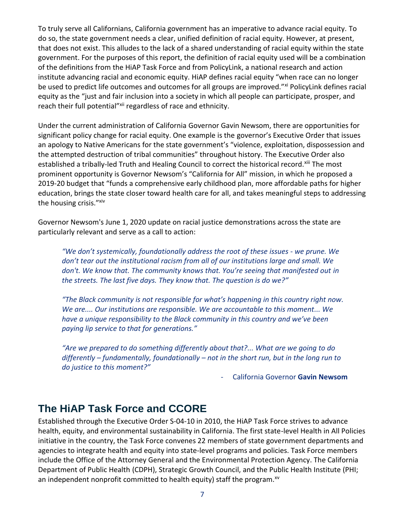To truly serve all Californians, California government has an imperative to advance racial equity. To do so, the state government needs a clear, unified definition of racial equity. However, at present, that does not exist. This alludes to the lack of a shared understanding of racial equity within the state government. For the purposes of this report, the definition of racial equity used will be a combination of the definitions from the HiAP Task Force and from PolicyLink, a national research and action institute advancing racial and economic equity. HiAP defines racial equity "when race can no longer be used to predict life outcomes and outcomes for all groups are improved."<sup>xi</sup> PolicyLink defines racial equity as the "just and fair inclusion into a society in which all people can participate, prosper, and reach their full potential"<sup>xii</sup> regardless of race and ethnicity.

Under the current administration of California Governor Gavin Newsom, there are opportunities for significant policy change for racial equity. One example is the governor's Executive Order that issues an apology to Native Americans for the state government's "violence, exploitation, dispossession and the attempted destruction of tribal communities" throughout history. The Executive Order also established a tribally-led Truth and Healing Council to correct the historical record.<sup>xiii</sup> The most prominent opportunity is Governor Newsom's "California for All" mission, in which he proposed a 2019-20 budget that "funds a comprehensive early childhood plan, more affordable paths for higher education, brings the state closer toward health care for all, and takes meaningful steps to addressing the housing crisis."Xiv

Governor Newsom's June 1, 2020 update on racial justice demonstrations across the state are particularly relevant and serve as a call to action:

"We don't systemically, foundationally address the root of these issues - we prune. We *don't tear out the institutional racism from all of our institutions large and small. We don't. We know that. The community knows that. You're seeing that manifested out in the streets. The last five days. They know that. The question is do we?"*

*"The Black community is not responsible for what's happening in this country right now. We are.... Our institutions are responsible. We are accountable to this moment... We have a unique responsibility to the Black community in this country and we've been paying lip service to that for generations."*

*"Are we prepared to do something differently about that?... What are we going to do differently – fundamentally, foundationally – not in the short run, but in the long run to do justice to this moment?"*

- California Governor **Gavin Newsom**

### **The HiAP Task Force and CCORE**

Established through the Executive Order S-04-10 in 2010, the HiAP Task Force strives to advance health, equity, and environmental sustainability in California. The first state-level Health in All Policies initiative in the country, the Task Force convenes 22 members of state government departments and agencies to integrate health and equity into state-level programs and policies. Task Force members include the Office of the Attorney General and the Environmental Protection Agency. The California Department of Public Health (CDPH), Strategic Growth Council, and the Public Health Institute (PHI; an independent nonprofit committed to health equity) staff the program. $x^2$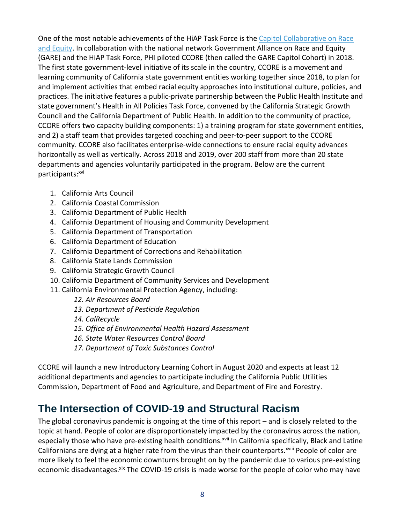One of the most notable achievements of the HiAP Task Force is the [Capitol Collaborative on Race](https://sgc.ca.gov/programs/hiap/racial-equity/)  [and Equity.](https://sgc.ca.gov/programs/hiap/racial-equity/) In collaboration with the national network Government Alliance on Race and Equity (GARE) and the HiAP Task Force, PHI piloted CCORE (then called the GARE Capitol Cohort) in 2018. The first state government-level initiative of its scale in the country, CCORE is a movement and learning community of California state government entities working together since 2018, to plan for and implement activities that embed racial equity approaches into institutional culture, policies, and practices. The initiative features a public-private partnership between the Public Health Institute and state government's Health in All Policies Task Force, convened by the California Strategic Growth Council and the California Department of Public Health. In addition to the community of practice, CCORE offers two capacity building components: 1) a training program for state government entities, and 2) a staff team that provides targeted coaching and peer-to-peer support to the CCORE community. CCORE also facilitates enterprise-wide connections to ensure racial equity advances horizontally as well as vertically. Across 2018 and 2019, over 200 staff from more than 20 state departments and agencies voluntarily participated in the program. Below are the current participants: xvi

- 1. California Arts Council
- 2. California Coastal Commission
- 3. California Department of Public Health
- 4. California Department of Housing and Community Development
- 5. California Department of Transportation
- 6. California Department of Education
- 7. California Department of Corrections and Rehabilitation
- 8. California State Lands Commission
- 9. California Strategic Growth Council
- 10. California Department of Community Services and Development
- 11. California Environmental Protection Agency, including:
	- *12. Air Resources Board*
	- *13. Department of Pesticide Regulation*
	- *14. CalRecycle*
	- *15. Office of Environmental Health Hazard Assessment*
	- *16. State Water Resources Control Board*
	- *17. Department of Toxic Substances Control*

CCORE will launch a new Introductory Learning Cohort in August 2020 and expects at least 12 additional departments and agencies to participate including the California Public Utilities Commission, Department of Food and Agriculture, and Department of Fire and Forestry.

### **The Intersection of COVID-19 and Structural Racism**

The global coronavirus pandemic is ongoing at the time of this report – and is closely related to the topic at hand. People of color are disproportionately impacted by the coronavirus across the nation, especially those who have pre-existing health conditions.<sup>xvii</sup> In California specifically, Black and Latine Californians are dying at a higher rate from the virus than their counterparts.<sup>xviii</sup> People of color are more likely to feel the economic downturns brought on by the pandemic due to various pre-existing economic disadvantages. Xix The COVID-19 crisis is made worse for the people of color who may have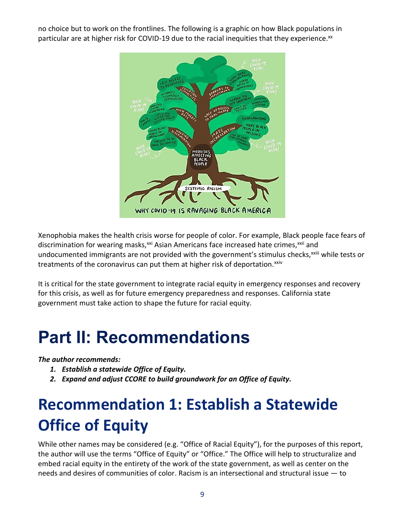no choice but to work on the frontlines. The following is a graphic on how Black populations in particular are at higher risk for COVID-19 due to the racial inequities that they experience.<sup>xx</sup>



Xenophobia makes the health crisis worse for people of color. For example, Black people face fears of discrimination for wearing masks,<sup>xxi</sup> Asian Americans face increased hate crimes,<sup>xxii</sup> and undocumented immigrants are not provided with the government's stimulus checks,<sup>xxiii</sup> while tests or treatments of the coronavirus can put them at higher risk of deportation.<sup>xxiv</sup>

It is critical for the state government to integrate racial equity in emergency responses and recovery for this crisis, as well as for future emergency preparedness and responses. California state government must take action to shape the future for racial equity.

## <span id="page-9-0"></span>**Part II: Recommendations**

*The author recommends:*

- *1. Establish a statewide Office of Equity.*
- *2. Expand and adjust CCORE to build groundwork for an Office of Equity.*

## <span id="page-9-1"></span>**Recommendation 1: Establish a Statewide Office of Equity**

While other names may be considered (e.g. "Office of Racial Equity"), for the purposes of this report, the author will use the terms "Office of Equity" or "Office." The Office will help to structuralize and embed racial equity in the entirety of the work of the state government, as well as center on the needs and desires of communities of color. Racism is an intersectional and structural issue — to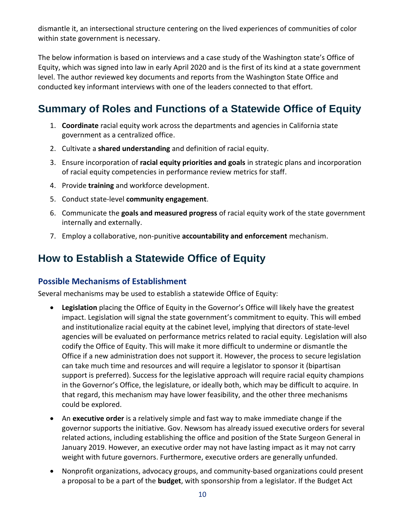dismantle it, an intersectional structure centering on the lived experiences of communities of color within state government is necessary.

The below information is based on interviews and a case study of the Washington state's Office of Equity, which was signed into law in early April 2020 and is the first of its kind at a state government level. The author reviewed key documents and reports from the Washington State Office and conducted key informant interviews with one of the leaders connected to that effort.

### **Summary of Roles and Functions of a Statewide Office of Equity**

- 1. **Coordinate** racial equity work across the departments and agencies in California state government as a centralized office.
- 2. Cultivate a **shared understanding** and definition of racial equity.
- 3. Ensure incorporation of **racial equity priorities and goals** in strategic plans and incorporation of racial equity competencies in performance review metrics for staff.
- 4. Provide **training** and workforce development.
- 5. Conduct state-level **community engagement**.
- 6. Communicate the **goals and measured progress** of racial equity work of the state government internally and externally.
- 7. Employ a collaborative, non-punitive **accountability and enforcement** mechanism.

### **How to Establish a Statewide Office of Equity**

#### **Possible Mechanisms of Establishment**

Several mechanisms may be used to establish a statewide Office of Equity:

- **Legislation** placing the Office of Equity in the Governor's Office will likely have the greatest impact. Legislation will signal the state government's commitment to equity. This will embed and institutionalize racial equity at the cabinet level, implying that directors of state-level agencies will be evaluated on performance metrics related to racial equity. Legislation will also codify the Office of Equity. This will make it more difficult to undermine or dismantle the Office if a new administration does not support it. However, the process to secure legislation can take much time and resources and will require a legislator to sponsor it (bipartisan support is preferred). Success for the legislative approach will require racial equity champions in the Governor's Office, the legislature, or ideally both, which may be difficult to acquire. In that regard, this mechanism may have lower feasibility, and the other three mechanisms could be explored.
- An **executive order** is a relatively simple and fast way to make immediate change if the governor supports the initiative. Gov. Newsom has already issued executive orders for several related actions, including establishing the office and position of the State Surgeon General in January 2019. However, an executive order may not have lasting impact as it may not carry weight with future governors. Furthermore, executive orders are generally unfunded.
- Nonprofit organizations, advocacy groups, and community-based organizations could present a proposal to be a part of the **budget**, with sponsorship from a legislator. If the Budget Act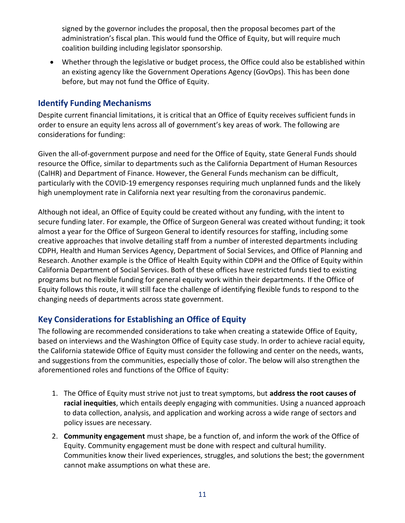signed by the governor includes the proposal, then the proposal becomes part of the administration's fiscal plan. This would fund the Office of Equity, but will require much coalition building including legislator sponsorship.

• Whether through the legislative or budget process, the Office could also be established within an existing agency like the Government Operations Agency (GovOps). This has been done before, but may not fund the Office of Equity.

#### **Identify Funding Mechanisms**

Despite current financial limitations, it is critical that an Office of Equity receives sufficient funds in order to ensure an equity lens across all of government's key areas of work. The following are considerations for funding:

Given the all-of-government purpose and need for the Office of Equity, state General Funds should resource the Office, similar to departments such as the California Department of Human Resources (CalHR) and Department of Finance. However, the General Funds mechanism can be difficult, particularly with the COVID-19 emergency responses requiring much unplanned funds and the likely high unemployment rate in California next year resulting from the coronavirus pandemic.

Although not ideal, an Office of Equity could be created without any funding, with the intent to secure funding later. For example, the Office of Surgeon General was created without funding; it took almost a year for the Office of Surgeon General to identify resources for staffing, including some creative approaches that involve detailing staff from a number of interested departments including CDPH, Health and Human Services Agency, Department of Social Services, and Office of Planning and Research. Another example is the Office of Health Equity within CDPH and the Office of Equity within California Department of Social Services. Both of these offices have restricted funds tied to existing programs but no flexible funding for general equity work within their departments. If the Office of Equity follows this route, it will still face the challenge of identifying flexible funds to respond to the changing needs of departments across state government.

#### **Key Considerations for Establishing an Office of Equity**

The following are recommended considerations to take when creating a statewide Office of Equity, based on interviews and the Washington Office of Equity case study. In order to achieve racial equity, the California statewide Office of Equity must consider the following and center on the needs, wants, and suggestions from the communities, especially those of color. The below will also strengthen the aforementioned roles and functions of the Office of Equity:

- 1. The Office of Equity must strive not just to treat symptoms, but **address the root causes of racial inequities**, which entails deeply engaging with communities. Using a nuanced approach to data collection, analysis, and application and working across a wide range of sectors and policy issues are necessary.
- 2. **Community engagement** must shape, be a function of, and inform the work of the Office of Equity. Community engagement must be done with respect and cultural humility. Communities know their lived experiences, struggles, and solutions the best; the government cannot make assumptions on what these are.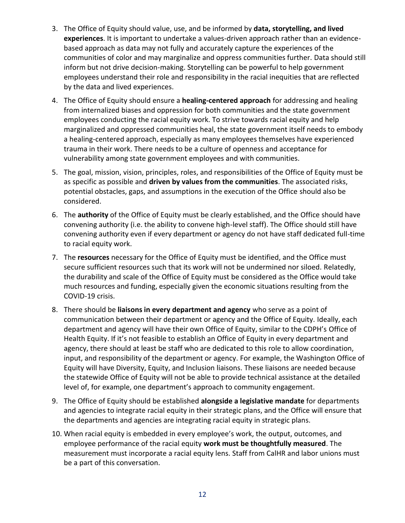- 3. The Office of Equity should value, use, and be informed by **data, storytelling, and lived experiences**. It is important to undertake a values-driven approach rather than an evidencebased approach as data may not fully and accurately capture the experiences of the communities of color and may marginalize and oppress communities further. Data should still inform but not drive decision-making. Storytelling can be powerful to help government employees understand their role and responsibility in the racial inequities that are reflected by the data and lived experiences.
- 4. The Office of Equity should ensure a **healing-centered approach** for addressing and healing from internalized biases and oppression for both communities and the state government employees conducting the racial equity work. To strive towards racial equity and help marginalized and oppressed communities heal, the state government itself needs to embody a healing-centered approach, especially as many employees themselves have experienced trauma in their work. There needs to be a culture of openness and acceptance for vulnerability among state government employees and with communities.
- 5. The goal, mission, vision, principles, roles, and responsibilities of the Office of Equity must be as specific as possible and **driven by values from the communities**. The associated risks, potential obstacles, gaps, and assumptions in the execution of the Office should also be considered.
- 6. The **authority** of the Office of Equity must be clearly established, and the Office should have convening authority (i.e. the ability to convene high-level staff). The Office should still have convening authority even if every department or agency do not have staff dedicated full-time to racial equity work.
- 7. The **resources** necessary for the Office of Equity must be identified, and the Office must secure sufficient resources such that its work will not be undermined nor siloed. Relatedly, the durability and scale of the Office of Equity must be considered as the Office would take much resources and funding, especially given the economic situations resulting from the COVID-19 crisis.
- 8. There should be **liaisons in every department and agency** who serve as a point of communication between their department or agency and the Office of Equity. Ideally, each department and agency will have their own Office of Equity, similar to the CDPH's Office of Health Equity. If it's not feasible to establish an Office of Equity in every department and agency, there should at least be staff who are dedicated to this role to allow coordination, input, and responsibility of the department or agency. For example, the Washington Office of Equity will have Diversity, Equity, and Inclusion liaisons. These liaisons are needed because the statewide Office of Equity will not be able to provide technical assistance at the detailed level of, for example, one department's approach to community engagement.
- 9. The Office of Equity should be established **alongside a legislative mandate** for departments and agencies to integrate racial equity in their strategic plans, and the Office will ensure that the departments and agencies are integrating racial equity in strategic plans.
- 10. When racial equity is embedded in every employee's work, the output, outcomes, and employee performance of the racial equity **work must be thoughtfully measured**. The measurement must incorporate a racial equity lens. Staff from CalHR and labor unions must be a part of this conversation.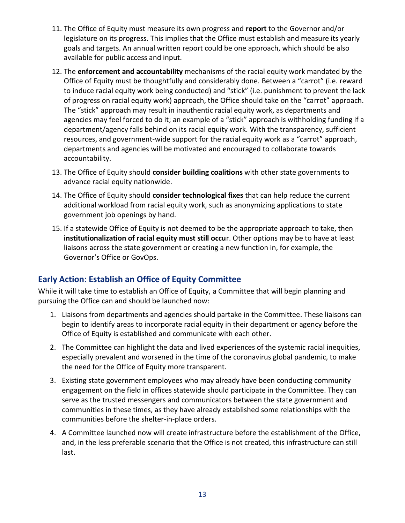- 11. The Office of Equity must measure its own progress and **report** to the Governor and/or legislature on its progress. This implies that the Office must establish and measure its yearly goals and targets. An annual written report could be one approach, which should be also available for public access and input.
- 12. The **enforcement and accountability** mechanisms of the racial equity work mandated by the Office of Equity must be thoughtfully and considerably done. Between a "carrot" (i.e. reward to induce racial equity work being conducted) and "stick" (i.e. punishment to prevent the lack of progress on racial equity work) approach, the Office should take on the "carrot" approach. The "stick" approach may result in inauthentic racial equity work, as departments and agencies may feel forced to do it; an example of a "stick" approach is withholding funding if a department/agency falls behind on its racial equity work. With the transparency, sufficient resources, and government-wide support for the racial equity work as a "carrot" approach, departments and agencies will be motivated and encouraged to collaborate towards accountability.
- 13. The Office of Equity should **consider building coalitions** with other state governments to advance racial equity nationwide.
- 14. The Office of Equity should **consider technological fixes** that can help reduce the current additional workload from racial equity work, such as anonymizing applications to state government job openings by hand.
- 15. If a statewide Office of Equity is not deemed to be the appropriate approach to take, then **institutionalization of racial equity must still occu**r. Other options may be to have at least liaisons across the state government or creating a new function in, for example, the Governor's Office or GovOps.

#### **Early Action: Establish an Office of Equity Committee**

While it will take time to establish an Office of Equity, a Committee that will begin planning and pursuing the Office can and should be launched now:

- 1. Liaisons from departments and agencies should partake in the Committee. These liaisons can begin to identify areas to incorporate racial equity in their department or agency before the Office of Equity is established and communicate with each other.
- 2. The Committee can highlight the data and lived experiences of the systemic racial inequities, especially prevalent and worsened in the time of the coronavirus global pandemic, to make the need for the Office of Equity more transparent.
- 3. Existing state government employees who may already have been conducting community engagement on the field in offices statewide should participate in the Committee. They can serve as the trusted messengers and communicators between the state government and communities in these times, as they have already established some relationships with the communities before the shelter-in-place orders.
- 4. A Committee launched now will create infrastructure before the establishment of the Office, and, in the less preferable scenario that the Office is not created, this infrastructure can still last.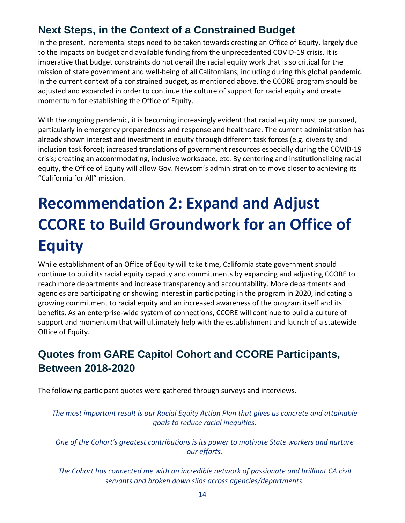### **Next Steps, in the Context of a Constrained Budget**

In the present, incremental steps need to be taken towards creating an Office of Equity, largely due to the impacts on budget and available funding from the unprecedented COVID-19 crisis. It is imperative that budget constraints do not derail the racial equity work that is so critical for the mission of state government and well-being of all Californians, including during this global pandemic. In the current context of a constrained budget, as mentioned above, the CCORE program should be adjusted and expanded in order to continue the culture of support for racial equity and create momentum for establishing the Office of Equity.

With the ongoing pandemic, it is becoming increasingly evident that racial equity must be pursued, particularly in emergency preparedness and response and healthcare. The current administration has already shown interest and investment in equity through different task forces (e.g. diversity and inclusion task force); increased translations of government resources especially during the COVID-19 crisis; creating an accommodating, inclusive workspace, etc. By centering and institutionalizing racial equity, the Office of Equity will allow Gov. Newsom's administration to move closer to achieving its "California for All" mission.

## <span id="page-14-0"></span>**Recommendation 2: Expand and Adjust CCORE to Build Groundwork for an Office of Equity**

While establishment of an Office of Equity will take time, California state government should continue to build its racial equity capacity and commitments by expanding and adjusting CCORE to reach more departments and increase transparency and accountability. More departments and agencies are participating or showing interest in participating in the program in 2020, indicating a growing commitment to racial equity and an increased awareness of the program itself and its benefits. As an enterprise-wide system of connections, CCORE will continue to build a culture of support and momentum that will ultimately help with the establishment and launch of a statewide Office of Equity.

### **Quotes from GARE Capitol Cohort and CCORE Participants, Between 2018-2020**

The following participant quotes were gathered through surveys and interviews.

*The most important result is our Racial Equity Action Plan that gives us concrete and attainable goals to reduce racial inequities.*

*One of the Cohort's greatest contributions is its power to motivate State workers and nurture our efforts.*

*The Cohort has connected me with an incredible network of passionate and brilliant CA civil servants and broken down silos across agencies/departments.*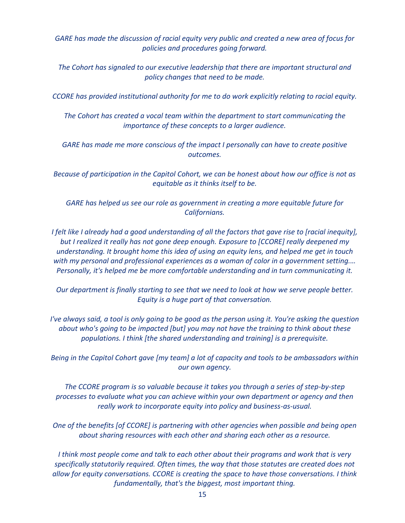*GARE has made the discussion of racial equity very public and created a new area of focus for policies and procedures going forward.*

*The Cohort has signaled to our executive leadership that there are important structural and policy changes that need to be made.*

*CCORE has provided institutional authority for me to do work explicitly relating to racial equity.*

*The Cohort has created a vocal team within the department to start communicating the importance of these concepts to a larger audience.*

*GARE has made me more conscious of the impact I personally can have to create positive outcomes.*

*Because of participation in the Capitol Cohort, we can be honest about how our office is not as equitable as it thinks itself to be.*

*GARE has helped us see our role as government in creating a more equitable future for Californians.*

*I felt like I already had a good understanding of all the factors that gave rise to [racial inequity], but I realized it really has not gone deep enough. Exposure to [CCORE] really deepened my understanding. It brought home this idea of using an equity lens, and helped me get in touch with my personal and professional experiences as a woman of color in a government setting.… Personally, it's helped me be more comfortable understanding and in turn communicating it.*

*Our department is finally starting to see that we need to look at how we serve people better. Equity is a huge part of that conversation.*

*I've always said, a tool is only going to be good as the person using it. You're asking the question about who's going to be impacted [but] you may not have the training to think about these populations. I think [the shared understanding and training] is a prerequisite.*

*Being in the Capitol Cohort gave [my team] a lot of capacity and tools to be ambassadors within our own agency.*

*The CCORE program is so valuable because it takes you through a series of step-by-step processes to evaluate what you can achieve within your own department or agency and then really work to incorporate equity into policy and business-as-usual.*

*One of the benefits [of CCORE] is partnering with other agencies when possible and being open about sharing resources with each other and sharing each other as a resource.*

*I think most people come and talk to each other about their programs and work that is very specifically statutorily required. Often times, the way that those statutes are created does not allow for equity conversations. CCORE is creating the space to have those conversations. I think fundamentally, that's the biggest, most important thing.*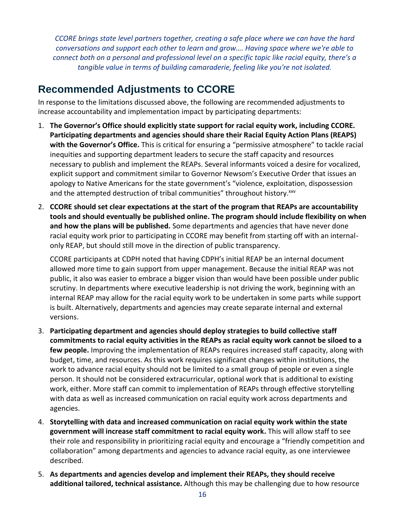*CCORE brings state level partners together, creating a safe place where we can have the hard conversations and support each other to learn and grow…. Having space where we're able to connect both on a personal and professional level on a specific topic like racial equity, there's a tangible value in terms of building camaraderie, feeling like you're not isolated.*

### **Recommended Adjustments to CCORE**

In response to the limitations discussed above, the following are recommended adjustments to increase accountability and implementation impact by participating departments:

- 1. **The Governor's Office should explicitly state support for racial equity work, including CCORE. Participating departments and agencies should share their Racial Equity Action Plans (REAPS) with the Governor's Office.** This is critical for ensuring a "permissive atmosphere" to tackle racial inequities and supporting department leaders to secure the staff capacity and resources necessary to publish and implement the REAPs. Several informants voiced a desire for vocalized, explicit support and commitment similar to Governor Newsom's Executive Order that issues an apology to Native Americans for the state government's "violence, exploitation, dispossession and the attempted destruction of tribal communities" throughout history.xxv
- 2. **CCORE should set clear expectations at the start of the program that REAPs are accountability tools and should eventually be published online. The program should include flexibility on when and how the plans will be published.** Some departments and agencies that have never done racial equity work prior to participating in CCORE may benefit from starting off with an internalonly REAP, but should still move in the direction of public transparency.

CCORE participants at CDPH noted that having CDPH's initial REAP be an internal document allowed more time to gain support from upper management. Because the initial REAP was not public, it also was easier to embrace a bigger vision than would have been possible under public scrutiny. In departments where executive leadership is not driving the work, beginning with an internal REAP may allow for the racial equity work to be undertaken in some parts while support is built. Alternatively, departments and agencies may create separate internal and external versions.

- 3. **Participating department and agencies should deploy strategies to build collective staff commitments to racial equity activities in the REAPs as racial equity work cannot be siloed to a few people.** Improving the implementation of REAPs requires increased staff capacity, along with budget, time, and resources. As this work requires significant changes within institutions, the work to advance racial equity should not be limited to a small group of people or even a single person. It should not be considered extracurricular, optional work that is additional to existing work, either. More staff can commit to implementation of REAPs through effective storytelling with data as well as increased communication on racial equity work across departments and agencies.
- 4. **Storytelling with data and increased communication on racial equity work within the state government will increase staff commitment to racial equity work.** This will allow staff to see their role and responsibility in prioritizing racial equity and encourage a "friendly competition and collaboration" among departments and agencies to advance racial equity, as one interviewee described.
- 5. **As departments and agencies develop and implement their REAPs, they should receive additional tailored, technical assistance.** Although this may be challenging due to how resource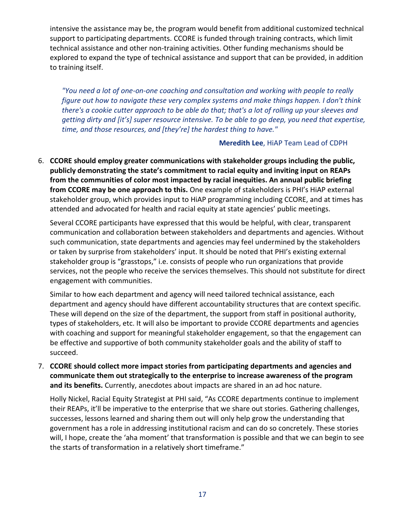intensive the assistance may be, the program would benefit from additional customized technical support to participating departments. CCORE is funded through training contracts, which limit technical assistance and other non-training activities. Other funding mechanisms should be explored to expand the type of technical assistance and support that can be provided, in addition to training itself.

*"You need a lot of one-on-one coaching and consultation and working with people to really figure out how to navigate these very complex systems and make things happen. I don't think there's a cookie cutter approach to be able do that; that's a lot of rolling up your sleeves and getting dirty and [it's] super resource intensive. To be able to go deep, you need that expertise, time, and those resources, and [they're] the hardest thing to have."* 

#### **Meredith Lee**, HiAP Team Lead of CDPH

6. **CCORE should employ greater communications with stakeholder groups including the public, publicly demonstrating the state's commitment to racial equity and inviting input on REAPs from the communities of color most impacted by racial inequities. An annual public briefing from CCORE may be one approach to this.** One example of stakeholders is PHI's HiAP external stakeholder group, which provides input to HiAP programming including CCORE, and at times has attended and advocated for health and racial equity at state agencies' public meetings.

Several CCORE participants have expressed that this would be helpful, with clear, transparent communication and collaboration between stakeholders and departments and agencies. Without such communication, state departments and agencies may feel undermined by the stakeholders or taken by surprise from stakeholders' input. It should be noted that PHI's existing external stakeholder group is "grasstops," i.e. consists of people who run organizations that provide services, not the people who receive the services themselves. This should not substitute for direct engagement with communities.

Similar to how each department and agency will need tailored technical assistance, each department and agency should have different accountability structures that are context specific. These will depend on the size of the department, the support from staff in positional authority, types of stakeholders, etc. It will also be important to provide CCORE departments and agencies with coaching and support for meaningful stakeholder engagement, so that the engagement can be effective and supportive of both community stakeholder goals and the ability of staff to succeed.

7. **CCORE should collect more impact stories from participating departments and agencies and communicate them out strategically to the enterprise to increase awareness of the program and its benefits.** Currently, anecdotes about impacts are shared in an ad hoc nature.

Holly Nickel, Racial Equity Strategist at PHI said, "As CCORE departments continue to implement their REAPs, it'll be imperative to the enterprise that we share out stories. Gathering challenges, successes, lessons learned and sharing them out will only help grow the understanding that government has a role in addressing institutional racism and can do so concretely. These stories will, I hope, create the 'aha moment' that transformation is possible and that we can begin to see the starts of transformation in a relatively short timeframe."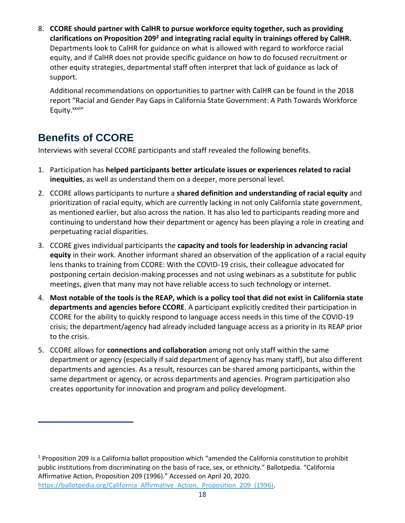8. **CCORE should partner with CalHR to pursue workforce equity together, such as providing clarifications on Proposition 209<sup>2</sup> and integrating racial equity in trainings offered by CalHR.** Departments look to CalHR for guidance on what is allowed with regard to workforce racial equity, and if CalHR does not provide specific guidance on how to do focused recruitment or other equity strategies, departmental staff often interpret that lack of guidance as lack of support.

Additional recommendations on opportunities to partner with CalHR can be found in the 2018 report "Racial and Gender Pay Gaps in California State Government: A Path Towards Workforce Equity. XXVIII

### **Benefits of CCORE**

Interviews with several CCORE participants and staff revealed the following benefits.

- 1. Participation has **helped participants better articulate issues or experiences related to racial inequities**, as well as understand them on a deeper, more personal level.
- 2. CCORE allows participants to nurture a **shared definition and understanding of racial equity** and prioritization of racial equity, which are currently lacking in not only California state government, as mentioned earlier, but also across the nation. It has also led to participants reading more and continuing to understand how their department or agency has been playing a role in creating and perpetuating racial disparities.
- 3. CCORE gives individual participants the **capacity and tools for leadership in advancing racial equity** in their work. Another informant shared an observation of the application of a racial equity lens thanks to training from CCORE: With the COVID-19 crisis, their colleague advocated for postponing certain decision-making processes and not using webinars as a substitute for public meetings, given that many may not have reliable access to such technology or internet.
- 4. **Most notable of the tools is the REAP, which is a policy tool that did not exist in California state departments and agencies before CCORE**. A participant explicitly credited their participation in CCORE for the ability to quickly respond to language access needs in this time of the COVID-19 crisis; the department/agency had already included language access as a priority in its REAP prior to the crisis.
- 5. CCORE allows for **connections and collaboration** among not only staff within the same department or agency (especially if said department of agency has many staff), but also different departments and agencies. As a result, resources can be shared among participants, within the same department or agency, or across departments and agencies. Program participation also creates opportunity for innovation and program and policy development.

<sup>&</sup>lt;sup>2</sup> Proposition 209 is a California ballot proposition which "amended the California constitution to prohibit public institutions from discriminating on the basis of race, sex, or ethnicity." Ballotpedia. "California Affirmative Action, Proposition 209 (1996)." Accessed on April 20, 2020. https://ballotpedia.org/California Affirmative Action, Proposition 209 (1996).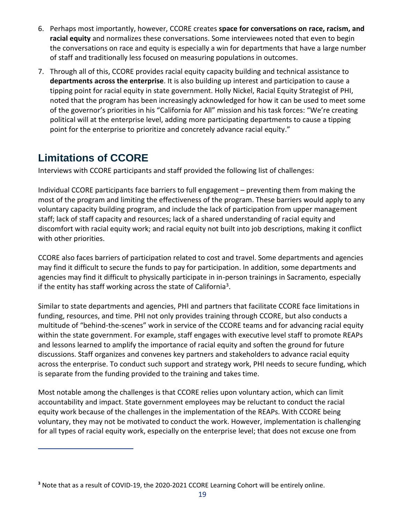- 6. Perhaps most importantly, however, CCORE creates **space for conversations on race, racism, and racial equity** and normalizes these conversations. Some interviewees noted that even to begin the conversations on race and equity is especially a win for departments that have a large number of staff and traditionally less focused on measuring populations in outcomes.
- 7. Through all of this, CCORE provides racial equity capacity building and technical assistance to **departments across the enterprise**. It is also building up interest and participation to cause a tipping point for racial equity in state government. Holly Nickel, Racial Equity Strategist of PHI, noted that the program has been increasingly acknowledged for how it can be used to meet some of the governor's priorities in his "California for All" mission and his task forces: "We're creating political will at the enterprise level, adding more participating departments to cause a tipping point for the enterprise to prioritize and concretely advance racial equity."

### **Limitations of CCORE**

Interviews with CCORE participants and staff provided the following list of challenges:

Individual CCORE participants face barriers to full engagement – preventing them from making the most of the program and limiting the effectiveness of the program. These barriers would apply to any voluntary capacity building program, and include the lack of participation from upper management staff; lack of staff capacity and resources; lack of a shared understanding of racial equity and discomfort with racial equity work; and racial equity not built into job descriptions, making it conflict with other priorities.

CCORE also faces barriers of participation related to cost and travel. Some departments and agencies may find it difficult to secure the funds to pay for participation. In addition, some departments and agencies may find it difficult to physically participate in in-person trainings in Sacramento, especially if the entity has staff working across the state of California<sup>3</sup>.

Similar to state departments and agencies, PHI and partners that facilitate CCORE face limitations in funding, resources, and time. PHI not only provides training through CCORE, but also conducts a multitude of "behind-the-scenes" work in service of the CCORE teams and for advancing racial equity within the state government. For example, staff engages with executive level staff to promote REAPs and lessons learned to amplify the importance of racial equity and soften the ground for future discussions. Staff organizes and convenes key partners and stakeholders to advance racial equity across the enterprise. To conduct such support and strategy work, PHI needs to secure funding, which is separate from the funding provided to the training and takes time.

Most notable among the challenges is that CCORE relies upon voluntary action, which can limit accountability and impact. State government employees may be reluctant to conduct the racial equity work because of the challenges in the implementation of the REAPs. With CCORE being voluntary, they may not be motivated to conduct the work. However, implementation is challenging for all types of racial equity work, especially on the enterprise level; that does not excuse one from

**<sup>3</sup>** Note that as a result of COVID-19, the 2020-2021 CCORE Learning Cohort will be entirely online.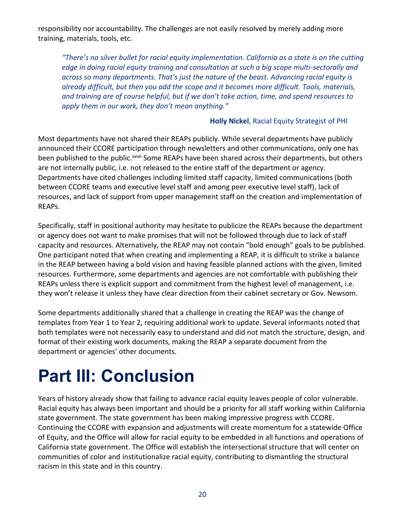responsibility nor accountability. The challenges are not easily resolved by merely adding more training, materials, tools, etc.

*"There's no silver bullet for racial equity implementation. California as a state is on the cutting edge in doing racial equity training and consultation at such a big scope multi-sectorally and across so many departments. That's just the nature of the beast. Advancing racial equity is already difficult, but then you add the scope and it becomes more difficult. Tools, materials, and training are of course helpful, but if we don't take action, time, and spend resources to apply them in our work, they don't mean anything."*

#### **Holly Nickel**, Racial Equity Strategist of PHI

Most departments have not shared their REAPs publicly. While several departments have publicly announced their CCORE participation through newsletters and other communications, only one has been published to the public.<sup>xxvii</sup> Some REAPs have been shared across their departments, but others are not internally public, i.e. not released to the entire staff of the department or agency. Departments have cited challenges including limited staff capacity, limited communications (both between CCORE teams and executive level staff and among peer executive level staff), lack of resources, and lack of support from upper management staff on the creation and implementation of REAPs.

Specifically, staff in positional authority may hesitate to publicize the REAPs because the department or agency does not want to make promises that will not be followed through due to lack of staff capacity and resources. Alternatively, the REAP may not contain "bold enough" goals to be published. One participant noted that when creating and implementing a REAP, it is difficult to strike a balance in the REAP between having a bold vision and having feasible planned actions with the given, limited resources. Furthermore, some departments and agencies are not comfortable with publishing their REAPs unless there is explicit support and commitment from the highest level of management, i.e. they won't release it unless they have clear direction from their cabinet secretary or Gov. Newsom.

Some departments additionally shared that a challenge in creating the REAP was the change of templates from Year 1 to Year 2, requiring additional work to update. Several informants noted that both templates were not necessarily easy to understand and did not match the structure, design, and format of their existing work documents, making the REAP a separate document from the department or agencies' other documents.

## <span id="page-20-0"></span>**Part III: Conclusion**

Years of history already show that failing to advance racial equity leaves people of color vulnerable. Racial equity has always been important and should be a priority for all staff working within California state government. The state government has been making impressive progress with CCORE. Continuing the CCORE with expansion and adjustments will create momentum for a statewide Office of Equity, and the Office will allow for racial equity to be embedded in all functions and operations of California state government. The Office will establish the intersectional structure that will center on communities of color and institutionalize racial equity, contributing to dismantling the structural racism in this state and in this country.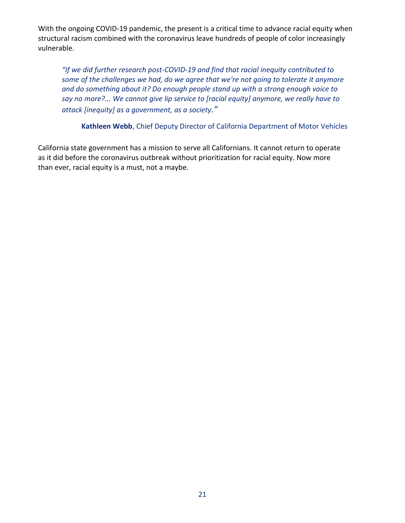With the ongoing COVID-19 pandemic, the present is a critical time to advance racial equity when structural racism combined with the coronavirus leave hundreds of people of color increasingly vulnerable.

*"If we did further research post-COVID-19 and find that racial inequity contributed to some of the challenges we had, do we agree that we're not going to tolerate it anymore and do something about it? Do enough people stand up with a strong enough voice to say no more?... We cannot give lip service to [racial equity] anymore, we really have to attack [inequity] as a government, as a society."*

**Kathleen Webb**, Chief Deputy Director of California Department of Motor Vehicles

California state government has a mission to serve all Californians. It cannot return to operate as it did before the coronavirus outbreak without prioritization for racial equity. Now more than ever, racial equity is a must, not a maybe.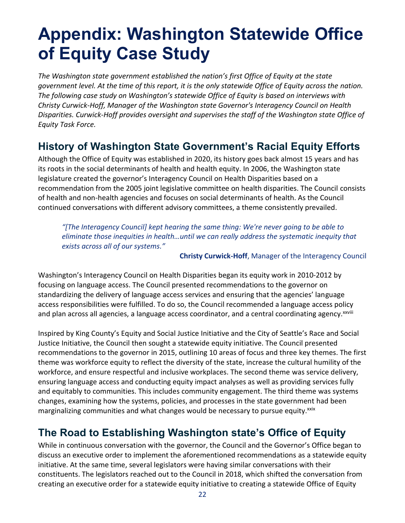## <span id="page-22-0"></span>**Appendix: Washington Statewide Office of Equity Case Study**

*The Washington state government established the nation's first Office of Equity at the state government level. At the time of this report, it is the only statewide Office of Equity across the nation. The following case study on Washington's statewide Office of Equity is based on interviews with Christy Curwick-Hoff, Manager of the Washington state Governor's Interagency Council on Health Disparities. Curwick-Hoff provides oversight and supervises the staff of the Washington state Office of Equity Task Force.*

### **History of Washington State Government's Racial Equity Efforts**

Although the Office of Equity was established in 2020, its history goes back almost 15 years and has its roots in the social determinants of health and health equity. In 2006, the Washington state legislature created the governor's Interagency Council on Health Disparities based on a recommendation from the 2005 joint legislative committee on health disparities. The Council consists of health and non-health agencies and focuses on social determinants of health. As the Council continued conversations with different advisory committees, a theme consistently prevailed.

*"[The Interagency Council] kept hearing the same thing: We're never going to be able to eliminate those inequities in health…until we can really address the systematic inequity that exists across all of our systems."*

**Christy Curwick-Hoff**, Manager of the Interagency Council

Washington's Interagency Council on Health Disparities began its equity work in 2010-2012 by focusing on language access. The Council presented recommendations to the governor on standardizing the delivery of language access services and ensuring that the agencies' language access responsibilities were fulfilled. To do so, the Council recommended a language access policy and plan across all agencies, a language access coordinator, and a central coordinating agency.<sup>xxviii</sup>

Inspired by King County's Equity and Social Justice Initiative and the City of Seattle's Race and Social Justice Initiative, the Council then sought a statewide equity initiative. The Council presented recommendations to the governor in 2015, outlining 10 areas of focus and three key themes. The first theme was workforce equity to reflect the diversity of the state, increase the cultural humility of the workforce, and ensure respectful and inclusive workplaces. The second theme was service delivery, ensuring language access and conducting equity impact analyses as well as providing services fully and equitably to communities. This includes community engagement. The third theme was systems changes, examining how the systems, policies, and processes in the state government had been marginalizing communities and what changes would be necessary to pursue equity.<sup>xxix</sup>

### **The Road to Establishing Washington state's Office of Equity**

While in continuous conversation with the governor, the Council and the Governor's Office began to discuss an executive order to implement the aforementioned recommendations as a statewide equity initiative. At the same time, several legislators were having similar conversations with their constituents. The legislators reached out to the Council in 2018, which shifted the conversation from creating an executive order for a statewide equity initiative to creating a statewide Office of Equity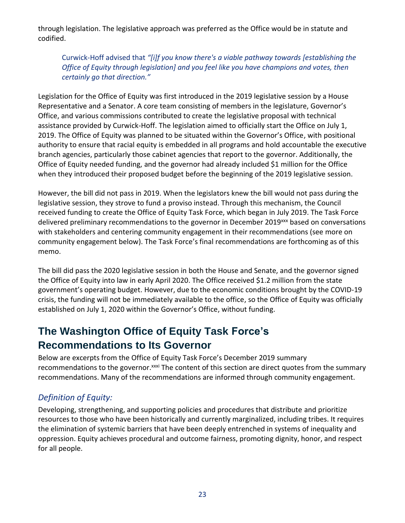through legislation. The legislative approach was preferred as the Office would be in statute and codified.

Curwick-Hoff advised that *"[i]f you know there's a viable pathway towards [establishing the Office of Equity through legislation] and you feel like you have champions and votes, then certainly go that direction."*

Legislation for the Office of Equity was first introduced in the 2019 legislative session by a House Representative and a Senator. A core team consisting of members in the legislature, Governor's Office, and various commissions contributed to create the legislative proposal with technical assistance provided by Curwick-Hoff. The legislation aimed to officially start the Office on July 1, 2019. The Office of Equity was planned to be situated within the Governor's Office, with positional authority to ensure that racial equity is embedded in all programs and hold accountable the executive branch agencies, particularly those cabinet agencies that report to the governor. Additionally, the Office of Equity needed funding, and the governor had already included \$1 million for the Office when they introduced their proposed budget before the beginning of the 2019 legislative session.

However, the bill did not pass in 2019. When the legislators knew the bill would not pass during the legislative session, they strove to fund a proviso instead. Through this mechanism, the Council received funding to create the Office of Equity Task Force, which began in July 2019. The Task Force delivered preliminary recommendations to the governor in December 2019<sup>xxx</sup> based on conversations with stakeholders and centering community engagement in their recommendations (see more on community engagement below). The Task Force's final recommendations are forthcoming as of this memo.

The bill did pass the 2020 legislative session in both the House and Senate, and the governor signed the Office of Equity into law in early April 2020. The Office received \$1.2 million from the state government's operating budget. However, due to the economic conditions brought by the COVID-19 crisis, the funding will not be immediately available to the office, so the Office of Equity was officially established on July 1, 2020 within the Governor's Office, without funding.

### **The Washington Office of Equity Task Force's Recommendations to Its Governor**

Below are excerpts from the Office of Equity Task Force's December 2019 summary recommendations to the governor.<sup>xxxi</sup> The content of this section are direct quotes from the summary recommendations. Many of the recommendations are informed through community engagement.

#### *Definition of Equity:*

Developing, strengthening, and supporting policies and procedures that distribute and prioritize resources to those who have been historically and currently marginalized, including tribes. It requires the elimination of systemic barriers that have been deeply entrenched in systems of inequality and oppression. Equity achieves procedural and outcome fairness, promoting dignity, honor, and respect for all people.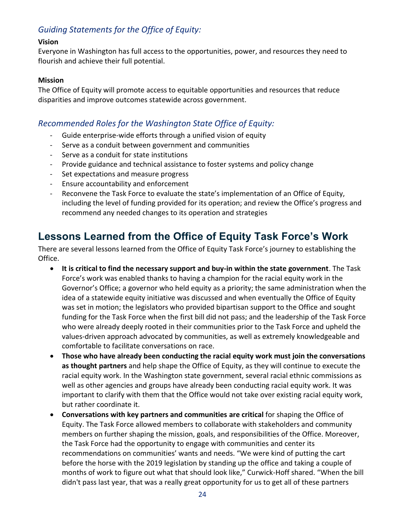#### *Guiding Statements for the Office of Equity:*

#### **Vision**

Everyone in Washington has full access to the opportunities, power, and resources they need to flourish and achieve their full potential.

#### **Mission**

The Office of Equity will promote access to equitable opportunities and resources that reduce disparities and improve outcomes statewide across government.

#### *Recommended Roles for the Washington State Office of Equity:*

- Guide enterprise-wide efforts through a unified vision of equity
- Serve as a conduit between government and communities
- Serve as a conduit for state institutions
- Provide guidance and technical assistance to foster systems and policy change
- Set expectations and measure progress
- Ensure accountability and enforcement
- Reconvene the Task Force to evaluate the state's implementation of an Office of Equity, including the level of funding provided for its operation; and review the Office's progress and recommend any needed changes to its operation and strategies

### **Lessons Learned from the Office of Equity Task Force's Work**

There are several lessons learned from the Office of Equity Task Force's journey to establishing the Office.

- **It is critical to find the necessary support and buy-in within the state government**. The Task Force's work was enabled thanks to having a champion for the racial equity work in the Governor's Office; a governor who held equity as a priority; the same administration when the idea of a statewide equity initiative was discussed and when eventually the Office of Equity was set in motion; the legislators who provided bipartisan support to the Office and sought funding for the Task Force when the first bill did not pass; and the leadership of the Task Force who were already deeply rooted in their communities prior to the Task Force and upheld the values-driven approach advocated by communities, as well as extremely knowledgeable and comfortable to facilitate conversations on race.
- **Those who have already been conducting the racial equity work must join the conversations as thought partners** and help shape the Office of Equity, as they will continue to execute the racial equity work. In the Washington state government, several racial ethnic commissions as well as other agencies and groups have already been conducting racial equity work. It was important to clarify with them that the Office would not take over existing racial equity work, but rather coordinate it.
- **Conversations with key partners and communities are critical** for shaping the Office of Equity. The Task Force allowed members to collaborate with stakeholders and community members on further shaping the mission, goals, and responsibilities of the Office. Moreover, the Task Force had the opportunity to engage with communities and center its recommendations on communities' wants and needs. "We were kind of putting the cart before the horse with the 2019 legislation by standing up the office and taking a couple of months of work to figure out what that should look like," Curwick-Hoff shared. "When the bill didn't pass last year, that was a really great opportunity for us to get all of these partners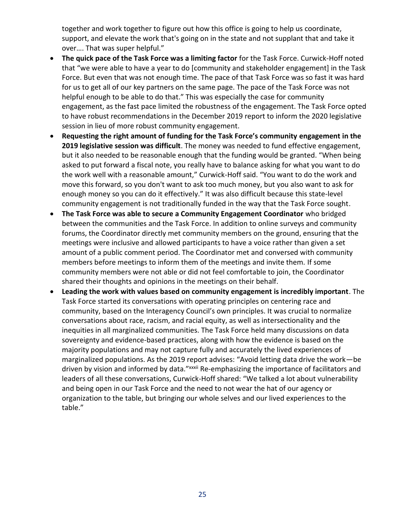together and work together to figure out how this office is going to help us coordinate, support, and elevate the work that's going on in the state and not supplant that and take it over…. That was super helpful."

- **The quick pace of the Task Force was a limiting factor** for the Task Force. Curwick-Hoff noted that "we were able to have a year to do [community and stakeholder engagement] in the Task Force. But even that was not enough time. The pace of that Task Force was so fast it was hard for us to get all of our key partners on the same page. The pace of the Task Force was not helpful enough to be able to do that." This was especially the case for community engagement, as the fast pace limited the robustness of the engagement. The Task Force opted to have robust recommendations in the December 2019 report to inform the 2020 legislative session in lieu of more robust community engagement.
- **Requesting the right amount of funding for the Task Force's community engagement in the 2019 legislative session was difficult**. The money was needed to fund effective engagement, but it also needed to be reasonable enough that the funding would be granted. "When being asked to put forward a fiscal note, you really have to balance asking for what you want to do the work well with a reasonable amount," Curwick-Hoff said. "You want to do the work and move this forward, so you don't want to ask too much money, but you also want to ask for enough money so you can do it effectively." It was also difficult because this state-level community engagement is not traditionally funded in the way that the Task Force sought.
- **The Task Force was able to secure a Community Engagement Coordinator** who bridged between the communities and the Task Force. In addition to online surveys and community forums, the Coordinator directly met community members on the ground, ensuring that the meetings were inclusive and allowed participants to have a voice rather than given a set amount of a public comment period. The Coordinator met and conversed with community members before meetings to inform them of the meetings and invite them. If some community members were not able or did not feel comfortable to join, the Coordinator shared their thoughts and opinions in the meetings on their behalf.
- **Leading the work with values based on community engagement is incredibly important**. The Task Force started its conversations with operating principles on centering race and community, based on the Interagency Council's own principles. It was crucial to normalize conversations about race, racism, and racial equity, as well as intersectionality and the inequities in all marginalized communities. The Task Force held many discussions on data sovereignty and evidence-based practices, along with how the evidence is based on the majority populations and may not capture fully and accurately the lived experiences of marginalized populations. As the 2019 report advises: "Avoid letting data drive the work—be driven by vision and informed by data."<sup>xxxii</sup> Re-emphasizing the importance of facilitators and leaders of all these conversations, Curwick-Hoff shared: "We talked a lot about vulnerability and being open in our Task Force and the need to not wear the hat of our agency or organization to the table, but bringing our whole selves and our lived experiences to the table."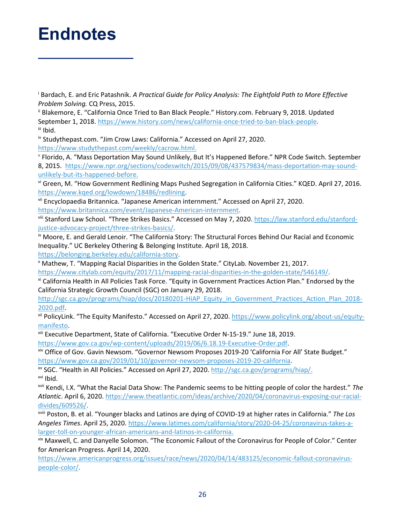## <span id="page-26-0"></span>**Endnotes**

<sup>i</sup> Bardach, E. and Eric Patashnik. *A Practical Guide for Policy Analysis: The Eightfold Path to More Effective Problem Solving.* CQ Press, 2015.

ii Blakemore, E. "California Once Tried to Ban Black People." History.com. February 9, 2018. Updated September 1, 2018. [https://www.history.com/news/california-once-tried-to-ban-black-people.](https://www.history.com/news/california-once-tried-to-ban-black-people) iii Ibid.

iv Studythepast.com. "Jim Crow Laws: California." Accessed on April 27, 2020. [https://www.studythepast.com/weekly/cacrow.html.](https://www.studythepast.com/weekly/cacrow.html)

v Florido, A. "Mass Deportation May Sound Unlikely, But It's Happened Before." NPR Code Switch. September 8, 2015. [https://www.npr.org/sections/codeswitch/2015/09/08/437579834/mass-deportation-may-sound](https://www.npr.org/sections/codeswitch/2015/09/08/437579834/mass-deportation-may-sound-unlikely-but-its-happened-before)[unlikely-but-its-happened-before.](https://www.npr.org/sections/codeswitch/2015/09/08/437579834/mass-deportation-may-sound-unlikely-but-its-happened-before)

vi Green, M. "How Government Redlining Maps Pushed Segregation in California Cities." KQED. April 27, 2016. [https://www.kqed.org/lowdown/18486/redlining.](https://www.kqed.org/lowdown/18486/redlining)

vii Encyclopaedia Britannica. "Japanese American internment." Accessed on April 27, 2020. [https://www.britannica.com/event/Japanese-American-internment.](https://www.britannica.com/event/Japanese-American-internment)

viii Stanford Law School. "Three Strikes Basics." Accessed on May 7, 2020[. https://law.stanford.edu/stanford](https://law.stanford.edu/stanford-justice-advocacy-project/three-strikes-basics/)[justice-advocacy-project/three-strikes-basics/.](https://law.stanford.edu/stanford-justice-advocacy-project/three-strikes-basics/)

<sup>ix</sup> Moore, E. and Gerald Lenoir. "The California Story: The Structural Forces Behind Our Racial and Economic Inequality." UC Berkeley Othering & Belonging Institute. April 18, 2018.

[https://belonging.berkeley.edu/california-story.](https://belonging.berkeley.edu/california-story)

<sup>x</sup> Mathew, T. "Mapping Racial Disparities in the Golden State." CityLab. November 21, 2017. [https://www.citylab.com/equity/2017/11/mapping-racial-disparities-in-the-golden-state/546149/.](https://www.citylab.com/equity/2017/11/mapping-racial-disparities-in-the-golden-state/546149/)

xi California Health in All Policies Task Force. "Equity in Government Practices Action Plan." Endorsed by the California Strategic Growth Council (SGC) on January 29, 2018.

[http://sgc.ca.gov/programs/hiap/docs/20180201-HiAP\\_Equity\\_in\\_Government\\_Practices\\_Action\\_Plan\\_2018-](http://sgc.ca.gov/programs/hiap/docs/20180201-HiAP_Equity_in_Government_Practices_Action_Plan_2018-2020.pdf) [2020.pdf.](http://sgc.ca.gov/programs/hiap/docs/20180201-HiAP_Equity_in_Government_Practices_Action_Plan_2018-2020.pdf)

xii PolicyLink. "The Equity Manifesto." Accessed on April 27, 2020. [https://www.policylink.org/about-us/equity](https://www.policylink.org/about-us/equity-manifesto)[manifesto.](https://www.policylink.org/about-us/equity-manifesto)

xiii Executive Department, State of California. "Executive Order N-15-19." June 18, 2019. [https://www.gov.ca.gov/wp-content/uploads/2019/06/6.18.19-Executive-Order.pdf.](https://www.gov.ca.gov/wp-content/uploads/2019/06/6.18.19-Executive-Order.pdf)

xiv Office of Gov. Gavin Newsom. "Governor Newsom Proposes 2019-20 'California For All' State Budget." [https://www.gov.ca.gov/2019/01/10/governor-newsom-proposes-2019-20-california.](https://www.gov.ca.gov/2019/01/10/governor-newsom-proposes-2019-20-california)

xv SGC. "Health in All Policies." Accessed on April 27, 2020. [http://sgc.ca.gov/programs/hiap/.](http://sgc.ca.gov/programs/hiap/) xvi Ibid.

xvii Kendi, I.X. "What the Racial Data Show: The Pandemic seems to be hitting people of color the hardest." *The Atlantic*. April 6, 2020[. https://www.theatlantic.com/ideas/archive/2020/04/coronavirus-exposing-our-racial](https://www.theatlantic.com/ideas/archive/2020/04/coronavirus-exposing-our-racial-divides/609526/)[divides/609526/.](https://www.theatlantic.com/ideas/archive/2020/04/coronavirus-exposing-our-racial-divides/609526/)

xviii Poston, B. et al. "Younger blacks and Latinos are dying of COVID-19 at higher rates in California." *The Los Angeles Times*. April 25, 2020. [https://www.latimes.com/california/story/2020-04-25/coronavirus-takes-a](https://www.latimes.com/california/story/2020-04-25/coronavirus-takes-a-larger-toll-on-younger-african-americans-and-latinos-in-california)[larger-toll-on-younger-african-americans-and-latinos-in-california.](https://www.latimes.com/california/story/2020-04-25/coronavirus-takes-a-larger-toll-on-younger-african-americans-and-latinos-in-california)

xix Maxwell, C. and Danyelle Solomon. "The Economic Fallout of the Coronavirus for People of Color." Center for American Progress. April 14, 2020.

[https://www.americanprogress.org/issues/race/news/2020/04/14/483125/economic-fallout-coronavirus](https://www.americanprogress.org/issues/race/news/2020/04/14/483125/economic-fallout-coronavirus-people-color/)[people-color/.](https://www.americanprogress.org/issues/race/news/2020/04/14/483125/economic-fallout-coronavirus-people-color/)